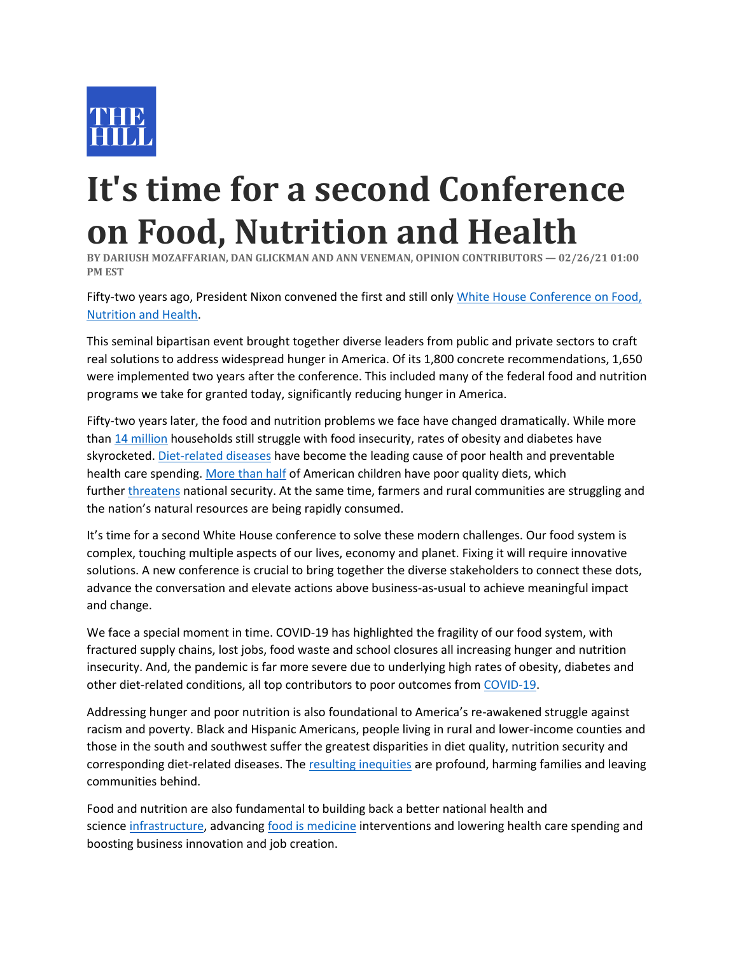

## **It's time for a second Conference on Food, Nutrition and Health**

**BY DARIUSH MOZAFFARIAN, DAN GLICKMAN AND ANN VENEMAN, OPINION CONTRIBUTORS — 02/26/21 01:00 PM EST**

Fifty-two years ago, President Nixon convened the first and still only [White House Conference on Food,](https://sites.tufts.edu/foodnutritionandhealth2019/1969-white-house-conference)  [Nutrition and Health.](https://sites.tufts.edu/foodnutritionandhealth2019/1969-white-house-conference)

This seminal bipartisan event brought together diverse leaders from public and private sectors to craft real solutions to address widespread hunger in America. Of its 1,800 concrete recommendations, 1,650 were implemented two years after the conference. This included many of the federal food and nutrition programs we take for granted today, significantly reducing hunger in America.

Fifty-two years later, the food and nutrition problems we face have changed dramatically. While more than [14 million](https://www.catholicsun.org/2019/12/01/50-years-since-white-house-conference-on-food-hunger-issues-remain/) households still struggle with food insecurity, rates of obesity and diabetes have skyrocketed. [Diet-related](https://cdn.jamanetwork.com/ama/content_public/journal/jama/936922/joi180029f2.png?Expires=2147483647&Signature=Wud8nNgHzd~SXYAipzVwz-Bq2aS7UaLsmZydQuTyUX15Um7PmXs2VXRQfSnGKKrGFGKnvsPCxV2mc27dixkfjSgK227qW1vCRMhItYdZTOFmRxk1zCsjznRyCNunNw~-nGnNA3cnatJrL40qITnirEZNcW~7~m~~g1WBV1VbMik~qJcFzX4YYQQlbrIahBXW7npRayOf6PG66f-U2JJTQQrUAnOZjG4KZEuaMJAsyipIiJ0b2AGxuy4Wt4lVjF5VqmZ8w0dkx9-oPmr08cGXU4uBF6jn3CKzGfvJnaOEMpO5tDfSB~vdEBDUao0cF2IypR2RSA7Kw1iiXB3ms9B37g__&Key-Pair-Id=APKAIE5G5CRDK6RD3PGA) diseases have become the leading cause of poor health and preventable health care spending. [More than half](https://pubmed.ncbi.nlm.nih.gov/32207798/) of American children have poor quality diets, which further [threatens](https://www.strongnation.org/articles/1335-breaking-point) national security. At the same time, farmers and rural communities are struggling and the nation's natural resources are being rapidly consumed.

It's time for a second White House conference to solve these modern challenges. Our food system is complex, touching multiple aspects of our lives, economy and planet. Fixing it will require innovative solutions. A new conference is crucial to bring together the diverse stakeholders to connect these dots, advance the conversation and elevate actions above business-as-usual to achieve meaningful impact and change.

We face a special moment in time. COVID-19 has highlighted the fragility of our food system, with fractured supply chains, lost jobs, food waste and school closures all increasing hunger and nutrition insecurity. And, the pandemic is far more severe due to underlying high rates of obesity, diabetes and other diet-related conditions, all top contributors to poor outcomes from [COVID-19.](https://www.cdc.gov/mmwr/volumes/69/wr/mm6924e2.htm?s_cid=mm6924e2_w)

Addressing hunger and poor nutrition is also foundational to America's re-awakened struggle against racism and poverty. Black and Hispanic Americans, people living in rural and lower-income counties and those in the south and southwest suffer the greatest disparities in diet quality, nutrition security and corresponding diet-related diseases. The [resulting inequities](https://www.ncbi.nlm.nih.gov/pmc/articles/PMC5543324/) are profound, harming families and leaving communities behind.

Food and nutrition are also fundamental to building back a better national health and science [infrastructure,](https://academic.oup.com/ajcn/article/112/3/721/5873352) advancing [food is medicine](https://www.bmj.com/content/369/bmj.m2482) interventions and lowering health care spending and boosting business innovation and job creation.